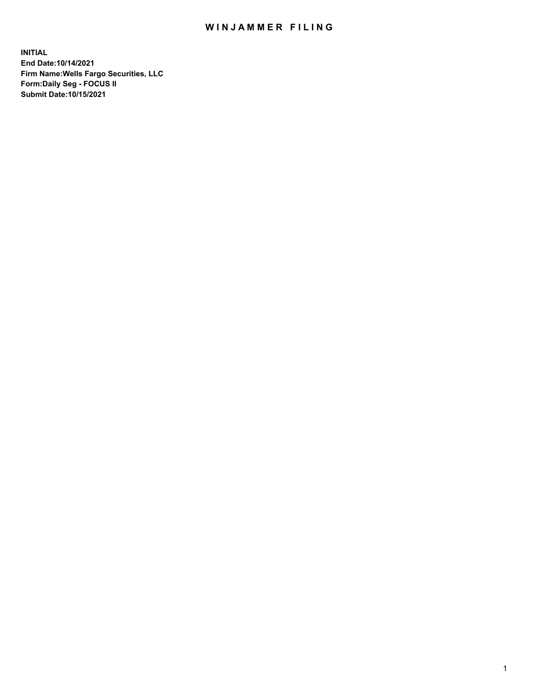## WIN JAMMER FILING

**INITIAL End Date:10/14/2021 Firm Name:Wells Fargo Securities, LLC Form:Daily Seg - FOCUS II Submit Date:10/15/2021**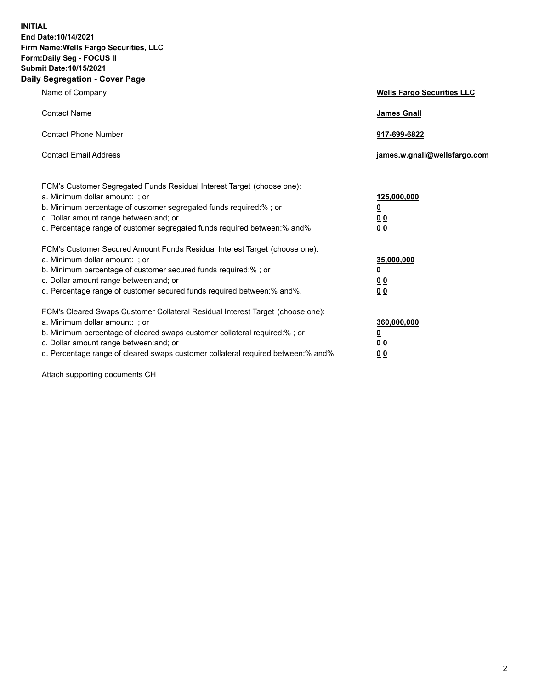**INITIAL End Date:10/14/2021 Firm Name:Wells Fargo Securities, LLC Form:Daily Seg - FOCUS II Submit Date:10/15/2021 Daily Segregation - Cover Page**

| Name of Company                                                                                                                                                                                                                                                                                                               | <b>Wells Fargo Securities LLC</b>                          |
|-------------------------------------------------------------------------------------------------------------------------------------------------------------------------------------------------------------------------------------------------------------------------------------------------------------------------------|------------------------------------------------------------|
| <b>Contact Name</b>                                                                                                                                                                                                                                                                                                           | <b>James Gnall</b>                                         |
| <b>Contact Phone Number</b>                                                                                                                                                                                                                                                                                                   | 917-699-6822                                               |
| <b>Contact Email Address</b>                                                                                                                                                                                                                                                                                                  | james.w.gnall@wellsfargo.com                               |
| FCM's Customer Segregated Funds Residual Interest Target (choose one):<br>a. Minimum dollar amount: ; or<br>b. Minimum percentage of customer segregated funds required:% ; or<br>c. Dollar amount range between: and; or<br>d. Percentage range of customer segregated funds required between:% and%.                        | 125,000,000<br><u>0</u><br>0 <sub>0</sub><br>00            |
| FCM's Customer Secured Amount Funds Residual Interest Target (choose one):<br>a. Minimum dollar amount: ; or<br>b. Minimum percentage of customer secured funds required:%; or<br>c. Dollar amount range between: and; or<br>d. Percentage range of customer secured funds required between:% and%.                           | 35,000,000<br><u>0</u><br>0 <sub>0</sub><br>0 <sub>0</sub> |
| FCM's Cleared Swaps Customer Collateral Residual Interest Target (choose one):<br>a. Minimum dollar amount: ; or<br>b. Minimum percentage of cleared swaps customer collateral required:%; or<br>c. Dollar amount range between: and; or<br>d. Percentage range of cleared swaps customer collateral required between:% and%. | 360,000,000<br><u>0</u><br>0 Q<br>00                       |

Attach supporting documents CH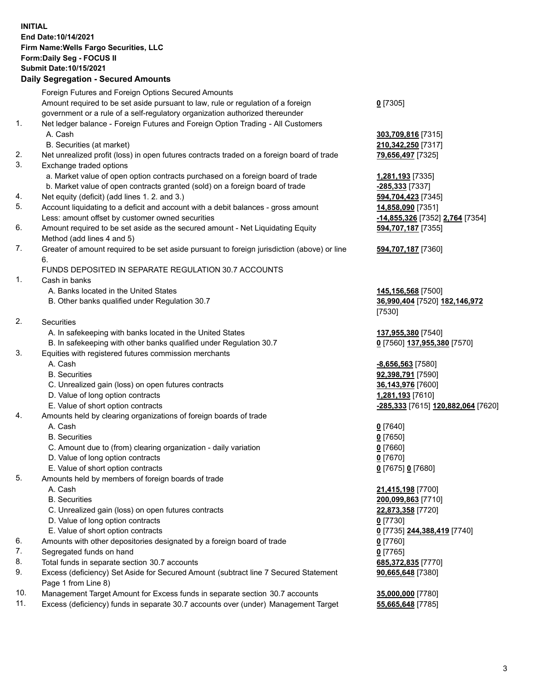**INITIAL End Date:10/14/2021 Firm Name:Wells Fargo Securities, LLC Form:Daily Seg - FOCUS II Submit Date:10/15/2021**

## **Daily Segregation - Secured Amounts**

| Amount required to be set aside pursuant to law, rule or regulation of a foreign<br>$0$ [7305]<br>government or a rule of a self-regulatory organization authorized thereunder<br>Net ledger balance - Foreign Futures and Foreign Option Trading - All Customers<br>A. Cash<br>303,709,816 [7315]<br>B. Securities (at market)<br>210,342,250 [7317]<br>Net unrealized profit (loss) in open futures contracts traded on a foreign board of trade<br>79,656,497 [7325]<br>Exchange traded options<br>a. Market value of open option contracts purchased on a foreign board of trade<br>1,281,193 <sub>[7335]</sub><br>b. Market value of open contracts granted (sold) on a foreign board of trade<br>-285,333 [7337]<br>Net equity (deficit) (add lines 1. 2. and 3.)<br>594,704,423 [7345]<br>Account liquidating to a deficit and account with a debit balances - gross amount<br>14,858,090 [7351]<br>Less: amount offset by customer owned securities<br>-14,855,326 [7352] 2,764 [7354]<br>Amount required to be set aside as the secured amount - Net Liquidating Equity<br>594,707,187 [7355]<br>Method (add lines 4 and 5)<br>Greater of amount required to be set aside pursuant to foreign jurisdiction (above) or line<br>594,707,187 [7360]<br>6.<br>FUNDS DEPOSITED IN SEPARATE REGULATION 30.7 ACCOUNTS<br>Cash in banks<br>A. Banks located in the United States<br>145,156,568 [7500]<br>B. Other banks qualified under Regulation 30.7<br>36,990,404 [7520] 182,146,972<br>[7530]<br><b>Securities</b><br>A. In safekeeping with banks located in the United States<br>137,955,380 [7540]<br>B. In safekeeping with other banks qualified under Regulation 30.7<br>0 [7560] 137,955,380 [7570]<br>Equities with registered futures commission merchants<br>A. Cash<br>$-8,656,563$ [7580]<br><b>B.</b> Securities<br>92,398,791 [7590]<br>C. Unrealized gain (loss) on open futures contracts<br>36,143,976 [7600]<br>D. Value of long option contracts<br>1,281,193 [7610]<br>E. Value of short option contracts<br>-285,333 [7615] 120,882,064 [7620]<br>Amounts held by clearing organizations of foreign boards of trade<br>A. Cash<br>$0$ [7640]<br><b>B.</b> Securities<br>$0$ [7650]<br>C. Amount due to (from) clearing organization - daily variation<br>$0$ [7660]<br>D. Value of long option contracts<br>$0$ [7670]<br>E. Value of short option contracts<br>0 [7675] 0 [7680]<br>Amounts held by members of foreign boards of trade<br>A. Cash<br>21,415,198 [7700]<br><b>B.</b> Securities<br>200,099,863 [7710]<br>C. Unrealized gain (loss) on open futures contracts<br>22,873,358 [7720]<br>D. Value of long option contracts<br>$0$ [7730]<br>E. Value of short option contracts<br>0 [7735] 244,388,419 [7740]<br>Amounts with other depositories designated by a foreign board of trade<br>$0$ [7760]<br>Segregated funds on hand<br>$0$ [7765]<br>Total funds in separate section 30.7 accounts<br>685,372,835 [7770]<br>Excess (deficiency) Set Aside for Secured Amount (subtract line 7 Secured Statement<br>90,665,648 [7380]<br>Page 1 from Line 8)<br>Management Target Amount for Excess funds in separate section 30.7 accounts<br>35,000,000 [7780] |     | Foreign Futures and Foreign Options Secured Amounts |  |
|-------------------------------------------------------------------------------------------------------------------------------------------------------------------------------------------------------------------------------------------------------------------------------------------------------------------------------------------------------------------------------------------------------------------------------------------------------------------------------------------------------------------------------------------------------------------------------------------------------------------------------------------------------------------------------------------------------------------------------------------------------------------------------------------------------------------------------------------------------------------------------------------------------------------------------------------------------------------------------------------------------------------------------------------------------------------------------------------------------------------------------------------------------------------------------------------------------------------------------------------------------------------------------------------------------------------------------------------------------------------------------------------------------------------------------------------------------------------------------------------------------------------------------------------------------------------------------------------------------------------------------------------------------------------------------------------------------------------------------------------------------------------------------------------------------------------------------------------------------------------------------------------------------------------------------------------------------------------------------------------------------------------------------------------------------------------------------------------------------------------------------------------------------------------------------------------------------------------------------------------------------------------------------------------------------------------------------------------------------------------------------------------------------------------------------------------------------------------------------------------------------------------------------------------------------------------------------------------------------------------------------------------------------------------------------------------------------------------------------------------------------------------------------------------------------------------------------------------------------------------------------------------------------------------------------------------------------------------------------------------------------------------------------------------------------------------------------------------------------------------------------------------------------------------------------------------------------|-----|-----------------------------------------------------|--|
|                                                                                                                                                                                                                                                                                                                                                                                                                                                                                                                                                                                                                                                                                                                                                                                                                                                                                                                                                                                                                                                                                                                                                                                                                                                                                                                                                                                                                                                                                                                                                                                                                                                                                                                                                                                                                                                                                                                                                                                                                                                                                                                                                                                                                                                                                                                                                                                                                                                                                                                                                                                                                                                                                                                                                                                                                                                                                                                                                                                                                                                                                                                                                                                                       |     |                                                     |  |
|                                                                                                                                                                                                                                                                                                                                                                                                                                                                                                                                                                                                                                                                                                                                                                                                                                                                                                                                                                                                                                                                                                                                                                                                                                                                                                                                                                                                                                                                                                                                                                                                                                                                                                                                                                                                                                                                                                                                                                                                                                                                                                                                                                                                                                                                                                                                                                                                                                                                                                                                                                                                                                                                                                                                                                                                                                                                                                                                                                                                                                                                                                                                                                                                       |     |                                                     |  |
|                                                                                                                                                                                                                                                                                                                                                                                                                                                                                                                                                                                                                                                                                                                                                                                                                                                                                                                                                                                                                                                                                                                                                                                                                                                                                                                                                                                                                                                                                                                                                                                                                                                                                                                                                                                                                                                                                                                                                                                                                                                                                                                                                                                                                                                                                                                                                                                                                                                                                                                                                                                                                                                                                                                                                                                                                                                                                                                                                                                                                                                                                                                                                                                                       | 1.  |                                                     |  |
|                                                                                                                                                                                                                                                                                                                                                                                                                                                                                                                                                                                                                                                                                                                                                                                                                                                                                                                                                                                                                                                                                                                                                                                                                                                                                                                                                                                                                                                                                                                                                                                                                                                                                                                                                                                                                                                                                                                                                                                                                                                                                                                                                                                                                                                                                                                                                                                                                                                                                                                                                                                                                                                                                                                                                                                                                                                                                                                                                                                                                                                                                                                                                                                                       |     |                                                     |  |
|                                                                                                                                                                                                                                                                                                                                                                                                                                                                                                                                                                                                                                                                                                                                                                                                                                                                                                                                                                                                                                                                                                                                                                                                                                                                                                                                                                                                                                                                                                                                                                                                                                                                                                                                                                                                                                                                                                                                                                                                                                                                                                                                                                                                                                                                                                                                                                                                                                                                                                                                                                                                                                                                                                                                                                                                                                                                                                                                                                                                                                                                                                                                                                                                       |     |                                                     |  |
|                                                                                                                                                                                                                                                                                                                                                                                                                                                                                                                                                                                                                                                                                                                                                                                                                                                                                                                                                                                                                                                                                                                                                                                                                                                                                                                                                                                                                                                                                                                                                                                                                                                                                                                                                                                                                                                                                                                                                                                                                                                                                                                                                                                                                                                                                                                                                                                                                                                                                                                                                                                                                                                                                                                                                                                                                                                                                                                                                                                                                                                                                                                                                                                                       | 2.  |                                                     |  |
|                                                                                                                                                                                                                                                                                                                                                                                                                                                                                                                                                                                                                                                                                                                                                                                                                                                                                                                                                                                                                                                                                                                                                                                                                                                                                                                                                                                                                                                                                                                                                                                                                                                                                                                                                                                                                                                                                                                                                                                                                                                                                                                                                                                                                                                                                                                                                                                                                                                                                                                                                                                                                                                                                                                                                                                                                                                                                                                                                                                                                                                                                                                                                                                                       | 3.  |                                                     |  |
|                                                                                                                                                                                                                                                                                                                                                                                                                                                                                                                                                                                                                                                                                                                                                                                                                                                                                                                                                                                                                                                                                                                                                                                                                                                                                                                                                                                                                                                                                                                                                                                                                                                                                                                                                                                                                                                                                                                                                                                                                                                                                                                                                                                                                                                                                                                                                                                                                                                                                                                                                                                                                                                                                                                                                                                                                                                                                                                                                                                                                                                                                                                                                                                                       |     |                                                     |  |
|                                                                                                                                                                                                                                                                                                                                                                                                                                                                                                                                                                                                                                                                                                                                                                                                                                                                                                                                                                                                                                                                                                                                                                                                                                                                                                                                                                                                                                                                                                                                                                                                                                                                                                                                                                                                                                                                                                                                                                                                                                                                                                                                                                                                                                                                                                                                                                                                                                                                                                                                                                                                                                                                                                                                                                                                                                                                                                                                                                                                                                                                                                                                                                                                       |     |                                                     |  |
|                                                                                                                                                                                                                                                                                                                                                                                                                                                                                                                                                                                                                                                                                                                                                                                                                                                                                                                                                                                                                                                                                                                                                                                                                                                                                                                                                                                                                                                                                                                                                                                                                                                                                                                                                                                                                                                                                                                                                                                                                                                                                                                                                                                                                                                                                                                                                                                                                                                                                                                                                                                                                                                                                                                                                                                                                                                                                                                                                                                                                                                                                                                                                                                                       | 4.  |                                                     |  |
|                                                                                                                                                                                                                                                                                                                                                                                                                                                                                                                                                                                                                                                                                                                                                                                                                                                                                                                                                                                                                                                                                                                                                                                                                                                                                                                                                                                                                                                                                                                                                                                                                                                                                                                                                                                                                                                                                                                                                                                                                                                                                                                                                                                                                                                                                                                                                                                                                                                                                                                                                                                                                                                                                                                                                                                                                                                                                                                                                                                                                                                                                                                                                                                                       | 5.  |                                                     |  |
|                                                                                                                                                                                                                                                                                                                                                                                                                                                                                                                                                                                                                                                                                                                                                                                                                                                                                                                                                                                                                                                                                                                                                                                                                                                                                                                                                                                                                                                                                                                                                                                                                                                                                                                                                                                                                                                                                                                                                                                                                                                                                                                                                                                                                                                                                                                                                                                                                                                                                                                                                                                                                                                                                                                                                                                                                                                                                                                                                                                                                                                                                                                                                                                                       |     |                                                     |  |
|                                                                                                                                                                                                                                                                                                                                                                                                                                                                                                                                                                                                                                                                                                                                                                                                                                                                                                                                                                                                                                                                                                                                                                                                                                                                                                                                                                                                                                                                                                                                                                                                                                                                                                                                                                                                                                                                                                                                                                                                                                                                                                                                                                                                                                                                                                                                                                                                                                                                                                                                                                                                                                                                                                                                                                                                                                                                                                                                                                                                                                                                                                                                                                                                       | 6.  |                                                     |  |
|                                                                                                                                                                                                                                                                                                                                                                                                                                                                                                                                                                                                                                                                                                                                                                                                                                                                                                                                                                                                                                                                                                                                                                                                                                                                                                                                                                                                                                                                                                                                                                                                                                                                                                                                                                                                                                                                                                                                                                                                                                                                                                                                                                                                                                                                                                                                                                                                                                                                                                                                                                                                                                                                                                                                                                                                                                                                                                                                                                                                                                                                                                                                                                                                       |     |                                                     |  |
|                                                                                                                                                                                                                                                                                                                                                                                                                                                                                                                                                                                                                                                                                                                                                                                                                                                                                                                                                                                                                                                                                                                                                                                                                                                                                                                                                                                                                                                                                                                                                                                                                                                                                                                                                                                                                                                                                                                                                                                                                                                                                                                                                                                                                                                                                                                                                                                                                                                                                                                                                                                                                                                                                                                                                                                                                                                                                                                                                                                                                                                                                                                                                                                                       | 7.  |                                                     |  |
|                                                                                                                                                                                                                                                                                                                                                                                                                                                                                                                                                                                                                                                                                                                                                                                                                                                                                                                                                                                                                                                                                                                                                                                                                                                                                                                                                                                                                                                                                                                                                                                                                                                                                                                                                                                                                                                                                                                                                                                                                                                                                                                                                                                                                                                                                                                                                                                                                                                                                                                                                                                                                                                                                                                                                                                                                                                                                                                                                                                                                                                                                                                                                                                                       |     |                                                     |  |
|                                                                                                                                                                                                                                                                                                                                                                                                                                                                                                                                                                                                                                                                                                                                                                                                                                                                                                                                                                                                                                                                                                                                                                                                                                                                                                                                                                                                                                                                                                                                                                                                                                                                                                                                                                                                                                                                                                                                                                                                                                                                                                                                                                                                                                                                                                                                                                                                                                                                                                                                                                                                                                                                                                                                                                                                                                                                                                                                                                                                                                                                                                                                                                                                       |     |                                                     |  |
|                                                                                                                                                                                                                                                                                                                                                                                                                                                                                                                                                                                                                                                                                                                                                                                                                                                                                                                                                                                                                                                                                                                                                                                                                                                                                                                                                                                                                                                                                                                                                                                                                                                                                                                                                                                                                                                                                                                                                                                                                                                                                                                                                                                                                                                                                                                                                                                                                                                                                                                                                                                                                                                                                                                                                                                                                                                                                                                                                                                                                                                                                                                                                                                                       | 1.  |                                                     |  |
|                                                                                                                                                                                                                                                                                                                                                                                                                                                                                                                                                                                                                                                                                                                                                                                                                                                                                                                                                                                                                                                                                                                                                                                                                                                                                                                                                                                                                                                                                                                                                                                                                                                                                                                                                                                                                                                                                                                                                                                                                                                                                                                                                                                                                                                                                                                                                                                                                                                                                                                                                                                                                                                                                                                                                                                                                                                                                                                                                                                                                                                                                                                                                                                                       |     |                                                     |  |
|                                                                                                                                                                                                                                                                                                                                                                                                                                                                                                                                                                                                                                                                                                                                                                                                                                                                                                                                                                                                                                                                                                                                                                                                                                                                                                                                                                                                                                                                                                                                                                                                                                                                                                                                                                                                                                                                                                                                                                                                                                                                                                                                                                                                                                                                                                                                                                                                                                                                                                                                                                                                                                                                                                                                                                                                                                                                                                                                                                                                                                                                                                                                                                                                       |     |                                                     |  |
|                                                                                                                                                                                                                                                                                                                                                                                                                                                                                                                                                                                                                                                                                                                                                                                                                                                                                                                                                                                                                                                                                                                                                                                                                                                                                                                                                                                                                                                                                                                                                                                                                                                                                                                                                                                                                                                                                                                                                                                                                                                                                                                                                                                                                                                                                                                                                                                                                                                                                                                                                                                                                                                                                                                                                                                                                                                                                                                                                                                                                                                                                                                                                                                                       |     |                                                     |  |
|                                                                                                                                                                                                                                                                                                                                                                                                                                                                                                                                                                                                                                                                                                                                                                                                                                                                                                                                                                                                                                                                                                                                                                                                                                                                                                                                                                                                                                                                                                                                                                                                                                                                                                                                                                                                                                                                                                                                                                                                                                                                                                                                                                                                                                                                                                                                                                                                                                                                                                                                                                                                                                                                                                                                                                                                                                                                                                                                                                                                                                                                                                                                                                                                       | 2.  |                                                     |  |
|                                                                                                                                                                                                                                                                                                                                                                                                                                                                                                                                                                                                                                                                                                                                                                                                                                                                                                                                                                                                                                                                                                                                                                                                                                                                                                                                                                                                                                                                                                                                                                                                                                                                                                                                                                                                                                                                                                                                                                                                                                                                                                                                                                                                                                                                                                                                                                                                                                                                                                                                                                                                                                                                                                                                                                                                                                                                                                                                                                                                                                                                                                                                                                                                       |     |                                                     |  |
|                                                                                                                                                                                                                                                                                                                                                                                                                                                                                                                                                                                                                                                                                                                                                                                                                                                                                                                                                                                                                                                                                                                                                                                                                                                                                                                                                                                                                                                                                                                                                                                                                                                                                                                                                                                                                                                                                                                                                                                                                                                                                                                                                                                                                                                                                                                                                                                                                                                                                                                                                                                                                                                                                                                                                                                                                                                                                                                                                                                                                                                                                                                                                                                                       |     |                                                     |  |
|                                                                                                                                                                                                                                                                                                                                                                                                                                                                                                                                                                                                                                                                                                                                                                                                                                                                                                                                                                                                                                                                                                                                                                                                                                                                                                                                                                                                                                                                                                                                                                                                                                                                                                                                                                                                                                                                                                                                                                                                                                                                                                                                                                                                                                                                                                                                                                                                                                                                                                                                                                                                                                                                                                                                                                                                                                                                                                                                                                                                                                                                                                                                                                                                       | 3.  |                                                     |  |
|                                                                                                                                                                                                                                                                                                                                                                                                                                                                                                                                                                                                                                                                                                                                                                                                                                                                                                                                                                                                                                                                                                                                                                                                                                                                                                                                                                                                                                                                                                                                                                                                                                                                                                                                                                                                                                                                                                                                                                                                                                                                                                                                                                                                                                                                                                                                                                                                                                                                                                                                                                                                                                                                                                                                                                                                                                                                                                                                                                                                                                                                                                                                                                                                       |     |                                                     |  |
|                                                                                                                                                                                                                                                                                                                                                                                                                                                                                                                                                                                                                                                                                                                                                                                                                                                                                                                                                                                                                                                                                                                                                                                                                                                                                                                                                                                                                                                                                                                                                                                                                                                                                                                                                                                                                                                                                                                                                                                                                                                                                                                                                                                                                                                                                                                                                                                                                                                                                                                                                                                                                                                                                                                                                                                                                                                                                                                                                                                                                                                                                                                                                                                                       |     |                                                     |  |
|                                                                                                                                                                                                                                                                                                                                                                                                                                                                                                                                                                                                                                                                                                                                                                                                                                                                                                                                                                                                                                                                                                                                                                                                                                                                                                                                                                                                                                                                                                                                                                                                                                                                                                                                                                                                                                                                                                                                                                                                                                                                                                                                                                                                                                                                                                                                                                                                                                                                                                                                                                                                                                                                                                                                                                                                                                                                                                                                                                                                                                                                                                                                                                                                       |     |                                                     |  |
|                                                                                                                                                                                                                                                                                                                                                                                                                                                                                                                                                                                                                                                                                                                                                                                                                                                                                                                                                                                                                                                                                                                                                                                                                                                                                                                                                                                                                                                                                                                                                                                                                                                                                                                                                                                                                                                                                                                                                                                                                                                                                                                                                                                                                                                                                                                                                                                                                                                                                                                                                                                                                                                                                                                                                                                                                                                                                                                                                                                                                                                                                                                                                                                                       |     |                                                     |  |
|                                                                                                                                                                                                                                                                                                                                                                                                                                                                                                                                                                                                                                                                                                                                                                                                                                                                                                                                                                                                                                                                                                                                                                                                                                                                                                                                                                                                                                                                                                                                                                                                                                                                                                                                                                                                                                                                                                                                                                                                                                                                                                                                                                                                                                                                                                                                                                                                                                                                                                                                                                                                                                                                                                                                                                                                                                                                                                                                                                                                                                                                                                                                                                                                       |     |                                                     |  |
|                                                                                                                                                                                                                                                                                                                                                                                                                                                                                                                                                                                                                                                                                                                                                                                                                                                                                                                                                                                                                                                                                                                                                                                                                                                                                                                                                                                                                                                                                                                                                                                                                                                                                                                                                                                                                                                                                                                                                                                                                                                                                                                                                                                                                                                                                                                                                                                                                                                                                                                                                                                                                                                                                                                                                                                                                                                                                                                                                                                                                                                                                                                                                                                                       | 4.  |                                                     |  |
|                                                                                                                                                                                                                                                                                                                                                                                                                                                                                                                                                                                                                                                                                                                                                                                                                                                                                                                                                                                                                                                                                                                                                                                                                                                                                                                                                                                                                                                                                                                                                                                                                                                                                                                                                                                                                                                                                                                                                                                                                                                                                                                                                                                                                                                                                                                                                                                                                                                                                                                                                                                                                                                                                                                                                                                                                                                                                                                                                                                                                                                                                                                                                                                                       |     |                                                     |  |
|                                                                                                                                                                                                                                                                                                                                                                                                                                                                                                                                                                                                                                                                                                                                                                                                                                                                                                                                                                                                                                                                                                                                                                                                                                                                                                                                                                                                                                                                                                                                                                                                                                                                                                                                                                                                                                                                                                                                                                                                                                                                                                                                                                                                                                                                                                                                                                                                                                                                                                                                                                                                                                                                                                                                                                                                                                                                                                                                                                                                                                                                                                                                                                                                       |     |                                                     |  |
|                                                                                                                                                                                                                                                                                                                                                                                                                                                                                                                                                                                                                                                                                                                                                                                                                                                                                                                                                                                                                                                                                                                                                                                                                                                                                                                                                                                                                                                                                                                                                                                                                                                                                                                                                                                                                                                                                                                                                                                                                                                                                                                                                                                                                                                                                                                                                                                                                                                                                                                                                                                                                                                                                                                                                                                                                                                                                                                                                                                                                                                                                                                                                                                                       |     |                                                     |  |
|                                                                                                                                                                                                                                                                                                                                                                                                                                                                                                                                                                                                                                                                                                                                                                                                                                                                                                                                                                                                                                                                                                                                                                                                                                                                                                                                                                                                                                                                                                                                                                                                                                                                                                                                                                                                                                                                                                                                                                                                                                                                                                                                                                                                                                                                                                                                                                                                                                                                                                                                                                                                                                                                                                                                                                                                                                                                                                                                                                                                                                                                                                                                                                                                       |     |                                                     |  |
|                                                                                                                                                                                                                                                                                                                                                                                                                                                                                                                                                                                                                                                                                                                                                                                                                                                                                                                                                                                                                                                                                                                                                                                                                                                                                                                                                                                                                                                                                                                                                                                                                                                                                                                                                                                                                                                                                                                                                                                                                                                                                                                                                                                                                                                                                                                                                                                                                                                                                                                                                                                                                                                                                                                                                                                                                                                                                                                                                                                                                                                                                                                                                                                                       |     |                                                     |  |
|                                                                                                                                                                                                                                                                                                                                                                                                                                                                                                                                                                                                                                                                                                                                                                                                                                                                                                                                                                                                                                                                                                                                                                                                                                                                                                                                                                                                                                                                                                                                                                                                                                                                                                                                                                                                                                                                                                                                                                                                                                                                                                                                                                                                                                                                                                                                                                                                                                                                                                                                                                                                                                                                                                                                                                                                                                                                                                                                                                                                                                                                                                                                                                                                       | 5.  |                                                     |  |
|                                                                                                                                                                                                                                                                                                                                                                                                                                                                                                                                                                                                                                                                                                                                                                                                                                                                                                                                                                                                                                                                                                                                                                                                                                                                                                                                                                                                                                                                                                                                                                                                                                                                                                                                                                                                                                                                                                                                                                                                                                                                                                                                                                                                                                                                                                                                                                                                                                                                                                                                                                                                                                                                                                                                                                                                                                                                                                                                                                                                                                                                                                                                                                                                       |     |                                                     |  |
|                                                                                                                                                                                                                                                                                                                                                                                                                                                                                                                                                                                                                                                                                                                                                                                                                                                                                                                                                                                                                                                                                                                                                                                                                                                                                                                                                                                                                                                                                                                                                                                                                                                                                                                                                                                                                                                                                                                                                                                                                                                                                                                                                                                                                                                                                                                                                                                                                                                                                                                                                                                                                                                                                                                                                                                                                                                                                                                                                                                                                                                                                                                                                                                                       |     |                                                     |  |
|                                                                                                                                                                                                                                                                                                                                                                                                                                                                                                                                                                                                                                                                                                                                                                                                                                                                                                                                                                                                                                                                                                                                                                                                                                                                                                                                                                                                                                                                                                                                                                                                                                                                                                                                                                                                                                                                                                                                                                                                                                                                                                                                                                                                                                                                                                                                                                                                                                                                                                                                                                                                                                                                                                                                                                                                                                                                                                                                                                                                                                                                                                                                                                                                       |     |                                                     |  |
|                                                                                                                                                                                                                                                                                                                                                                                                                                                                                                                                                                                                                                                                                                                                                                                                                                                                                                                                                                                                                                                                                                                                                                                                                                                                                                                                                                                                                                                                                                                                                                                                                                                                                                                                                                                                                                                                                                                                                                                                                                                                                                                                                                                                                                                                                                                                                                                                                                                                                                                                                                                                                                                                                                                                                                                                                                                                                                                                                                                                                                                                                                                                                                                                       |     |                                                     |  |
|                                                                                                                                                                                                                                                                                                                                                                                                                                                                                                                                                                                                                                                                                                                                                                                                                                                                                                                                                                                                                                                                                                                                                                                                                                                                                                                                                                                                                                                                                                                                                                                                                                                                                                                                                                                                                                                                                                                                                                                                                                                                                                                                                                                                                                                                                                                                                                                                                                                                                                                                                                                                                                                                                                                                                                                                                                                                                                                                                                                                                                                                                                                                                                                                       |     |                                                     |  |
|                                                                                                                                                                                                                                                                                                                                                                                                                                                                                                                                                                                                                                                                                                                                                                                                                                                                                                                                                                                                                                                                                                                                                                                                                                                                                                                                                                                                                                                                                                                                                                                                                                                                                                                                                                                                                                                                                                                                                                                                                                                                                                                                                                                                                                                                                                                                                                                                                                                                                                                                                                                                                                                                                                                                                                                                                                                                                                                                                                                                                                                                                                                                                                                                       | 6.  |                                                     |  |
|                                                                                                                                                                                                                                                                                                                                                                                                                                                                                                                                                                                                                                                                                                                                                                                                                                                                                                                                                                                                                                                                                                                                                                                                                                                                                                                                                                                                                                                                                                                                                                                                                                                                                                                                                                                                                                                                                                                                                                                                                                                                                                                                                                                                                                                                                                                                                                                                                                                                                                                                                                                                                                                                                                                                                                                                                                                                                                                                                                                                                                                                                                                                                                                                       | 7.  |                                                     |  |
|                                                                                                                                                                                                                                                                                                                                                                                                                                                                                                                                                                                                                                                                                                                                                                                                                                                                                                                                                                                                                                                                                                                                                                                                                                                                                                                                                                                                                                                                                                                                                                                                                                                                                                                                                                                                                                                                                                                                                                                                                                                                                                                                                                                                                                                                                                                                                                                                                                                                                                                                                                                                                                                                                                                                                                                                                                                                                                                                                                                                                                                                                                                                                                                                       | 8.  |                                                     |  |
|                                                                                                                                                                                                                                                                                                                                                                                                                                                                                                                                                                                                                                                                                                                                                                                                                                                                                                                                                                                                                                                                                                                                                                                                                                                                                                                                                                                                                                                                                                                                                                                                                                                                                                                                                                                                                                                                                                                                                                                                                                                                                                                                                                                                                                                                                                                                                                                                                                                                                                                                                                                                                                                                                                                                                                                                                                                                                                                                                                                                                                                                                                                                                                                                       | 9.  |                                                     |  |
|                                                                                                                                                                                                                                                                                                                                                                                                                                                                                                                                                                                                                                                                                                                                                                                                                                                                                                                                                                                                                                                                                                                                                                                                                                                                                                                                                                                                                                                                                                                                                                                                                                                                                                                                                                                                                                                                                                                                                                                                                                                                                                                                                                                                                                                                                                                                                                                                                                                                                                                                                                                                                                                                                                                                                                                                                                                                                                                                                                                                                                                                                                                                                                                                       | 10. |                                                     |  |

11. Excess (deficiency) funds in separate 30.7 accounts over (under) Management Target **55,665,648** [7785]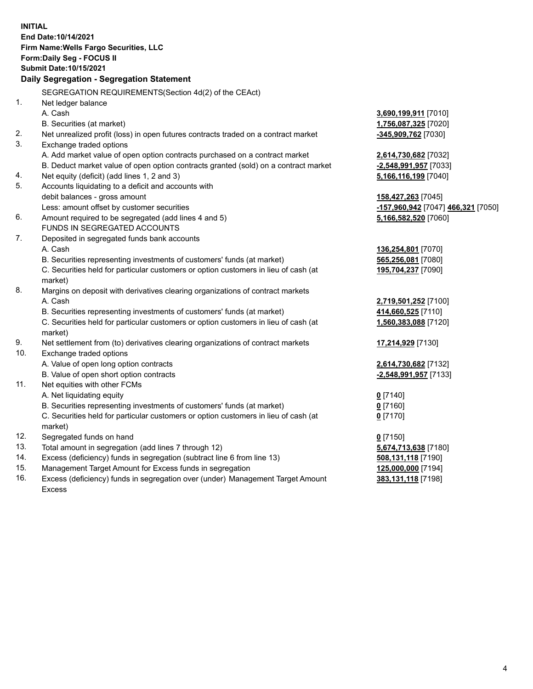**INITIAL End Date:10/14/2021 Firm Name:Wells Fargo Securities, LLC Form:Daily Seg - FOCUS II Submit Date:10/15/2021 Daily Segregation - Segregation Statement** SEGREGATION REQUIREMENTS(Section 4d(2) of the CEAct) 1. Net ledger balance A. Cash **3,690,199,911** [7010] B. Securities (at market) **1,756,087,325** [7020] 2. Net unrealized profit (loss) in open futures contracts traded on a contract market **-345,909,762** [7030] 3. Exchange traded options A. Add market value of open option contracts purchased on a contract market **2,614,730,682** [7032] B. Deduct market value of open option contracts granted (sold) on a contract market **-2,548,991,957** [7033] 4. Net equity (deficit) (add lines 1, 2 and 3) **5,166,116,199** [7040] 5. Accounts liquidating to a deficit and accounts with debit balances - gross amount **158,427,263** [7045] Less: amount offset by customer securities **-157,960,942** [7047] **466,321** [7050] 6. Amount required to be segregated (add lines 4 and 5) **5,166,582,520** [7060] FUNDS IN SEGREGATED ACCOUNTS 7. Deposited in segregated funds bank accounts A. Cash **136,254,801** [7070] B. Securities representing investments of customers' funds (at market) **565,256,081** [7080] C. Securities held for particular customers or option customers in lieu of cash (at market) **195,704,237** [7090] 8. Margins on deposit with derivatives clearing organizations of contract markets A. Cash **2,719,501,252** [7100] B. Securities representing investments of customers' funds (at market) **414,660,525** [7110] C. Securities held for particular customers or option customers in lieu of cash (at market) **1,560,383,088** [7120] 9. Net settlement from (to) derivatives clearing organizations of contract markets **17,214,929** [7130] 10. Exchange traded options A. Value of open long option contracts **2,614,730,682** [7132] B. Value of open short option contracts **-2,548,991,957** [7133] 11. Net equities with other FCMs A. Net liquidating equity **0** [7140] B. Securities representing investments of customers' funds (at market) **0** [7160] C. Securities held for particular customers or option customers in lieu of cash (at market) **0** [7170] 12. Segregated funds on hand **0** [7150] 13. Total amount in segregation (add lines 7 through 12) **5,674,713,638** [7180] 14. Excess (deficiency) funds in segregation (subtract line 6 from line 13) **508,131,118** [7190] 15. Management Target Amount for Excess funds in segregation **125,000,000** [7194]

16. Excess (deficiency) funds in segregation over (under) Management Target Amount Excess

**383,131,118** [7198]